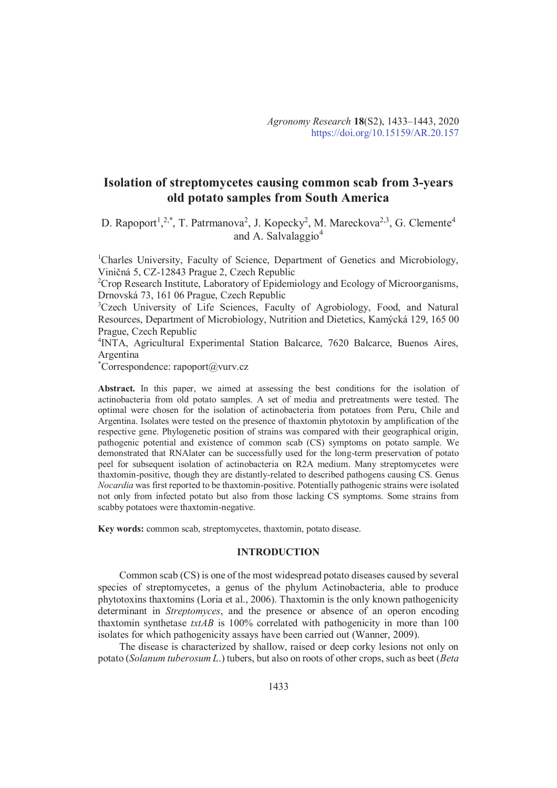# **Isolation of streptomycetes causing common scab from 3-years old potato samples from South America**

D. Rapoport<sup>1</sup>,<sup>2,\*</sup>, T. Patrmanova<sup>2</sup>, J. Kopecky<sup>2</sup>, M. Mareckova<sup>2,3</sup>, G. Clemente<sup>4</sup> and A. Salvalaggio<sup>4</sup>

<sup>1</sup>Charles University, Faculty of Science, Department of Genetics and Microbiology, Viničná 5, CZ-12843 Prague 2, Czech Republic

<sup>2</sup>Crop Research Institute, Laboratory of Epidemiology and Ecology of Microorganisms, Drnovská 73, 161 06 Prague, Czech Republic

<sup>3</sup>Czech University of Life Sciences, Faculty of Agrobiology, Food, and Natural Resources, Department of Microbiology, Nutrition and Dietetics, Kamýcká 129, 165 00 Prague, Czech Republic

4 INTA, Agricultural Experimental Station Balcarce, 7620 Balcarce, Buenos Aires, Argentina

\*Correspondence: rapoport $(a)$ vurv.cz

Abstract. In this paper, we aimed at assessing the best conditions for the isolation of actinobacteria from old potato samples. A set of media and pretreatments were tested. The optimal were chosen for the isolation of actinobacteria from potatoes from Peru, Chile and Argentina. Isolates were tested on the presence of thaxtomin phytotoxin by amplification of the respective gene. Phylogenetic position of strains was compared with their geographical origin, pathogenic potential and existence of common scab (CS) symptoms on potato sample. We demonstrated that RNAlater can be successfully used for the long-term preservation of potato peel for subsequent isolation of actinobacteria on R2A medium. Many streptomycetes were thaxtomin-positive, though they are distantly-related to described pathogens causing CS. Genus *Nocardia* was first reported to be thaxtomin-positive. Potentially pathogenic strains were isolated not only from infected potato but also from those lacking CS symptoms. Some strains from scabby potatoes were thaxtomin-negative.

**Key words:** common scab, streptomycetes, thaxtomin, potato disease.

## **INTRODUCTION**

Common scab (CS) is one of the most widespread potato diseases caused by several species of streptomycetes, a genus of the phylum Actinobacteria, able to produce phytotoxins thaxtomins (Loria et al., 2006). Thaxtomin is the only known pathogenicity determinant in *Streptomyces*, and the presence or absence of an operon encoding thaxtomin synthetase *txtAB* is 100% correlated with pathogenicity in more than 100 isolates for which pathogenicity assays have been carried out (Wanner, 2009).

The disease is characterized by shallow, raised or deep corky lesions not only on potato (*Solanum tuberosum L*.) tubers, but also on roots of other crops, such as beet (*Beta*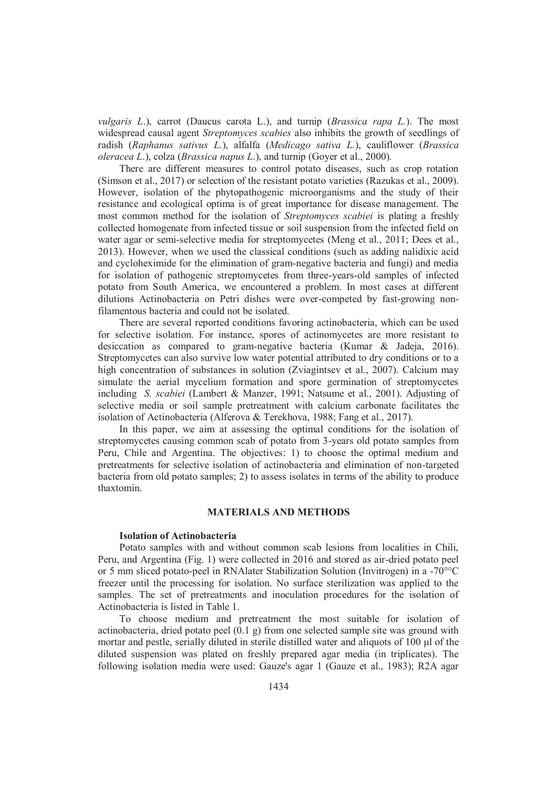*vulgaris L*.), carrot (Daucus carota L.), and turnip (*Brassica rapa L.*). The most widespread causal agent *Streptomyces scabies* also inhibits the growth of seedlings of radish (*Raphanus sativus L*.), alfalfa (*Medicago sativa L.*), cauliflower (*Brassica oleracea L*.), colza (*Brassica napus L*.), and turnip (Goyer et al., 2000).

There are different measures to control potato diseases, such as crop rotation (Simson et al., 2017) or selection of the resistant potato varieties (Razukas et al., 2009). However, isolation of the phytopathogenic microorganisms and the study of their resistance and ecological optima is of great importance for disease management. The most common method for the isolation of *Streptomyces scabiei* is plating a freshly collected homogenate from infected tissue or soil suspension from the infected field on water agar or semi-selective media for streptomycetes (Meng et al., 2011; Dees et al., 2013). However, when we used the classical conditions (such as adding nalidixic acid and cycloheximide for the elimination of gram-negative bacteria and fungi) and media for isolation of pathogenic streptomycetes from three-years-old samples of infected potato from South America, we encountered a problem. In most cases at different dilutions Actinobacteria on Petri dishes were over-competed by fast-growing nonfilamentous bacteria and could not be isolated.

There are several reported conditions favoring actinobacteria, which can be used for selective isolation. For instance, spores of actinomycetes are more resistant to desiccation as compared to gram-negative bacteria (Kumar & Jadeja, 2016). Streptomycetes can also survive low water potential attributed to dry conditions or to a high concentration of substances in solution (Zviagintsev et al., 2007). Calcium may simulate the aerial mycelium formation and spore germination of streptomycetes including *S. scabiei* (Lambert & Manzer, 1991; Natsume et al., 2001). Adjusting of selective media or soil sample pretreatment with calcium carbonate facilitates the isolation of Actinobacteria (Alferova & Terekhova, 1988; Fang et al., 2017).

In this paper, we aim at assessing the optimal conditions for the isolation of streptomycetes causing common scab of potato from 3-years old potato samples from Peru, Chile and Argentina. The objectives: 1) to choose the optimal medium and pretreatments for selective isolation of actinobacteria and elimination of non-targeted bacteria from old potato samples; 2) to assess isolates in terms of the ability to produce thaxtomin.

#### **MATERIALS AND METHODS**

## **Isolation of Actinobacteria**

Potato samples with and without common scab lesions from localities in Chili, Peru, and Argentina (Fig. 1) were collected in 2016 and stored as air-dried potato peel or 5 mm sliced potato-peel in RNAlater Stabilization Solution (Invitrogen) in a -70°°C freezer until the processing for isolation. No surface sterilization was applied to the samples. The set of pretreatments and inoculation procedures for the isolation of Actinobacteria is listed in Table 1.

To choose medium and pretreatment the most suitable for isolation of actinobacteria, dried potato peel  $(0.1 \text{ g})$  from one selected sample site was ground with mortar and pestle, serially diluted in sterile distilled water and aliquots of 100 μl of the diluted suspension was plated on freshly prepared agar media (in triplicates). The following isolation media were used: Gauze's agar 1 (Gauze et al., 1983); R2A agar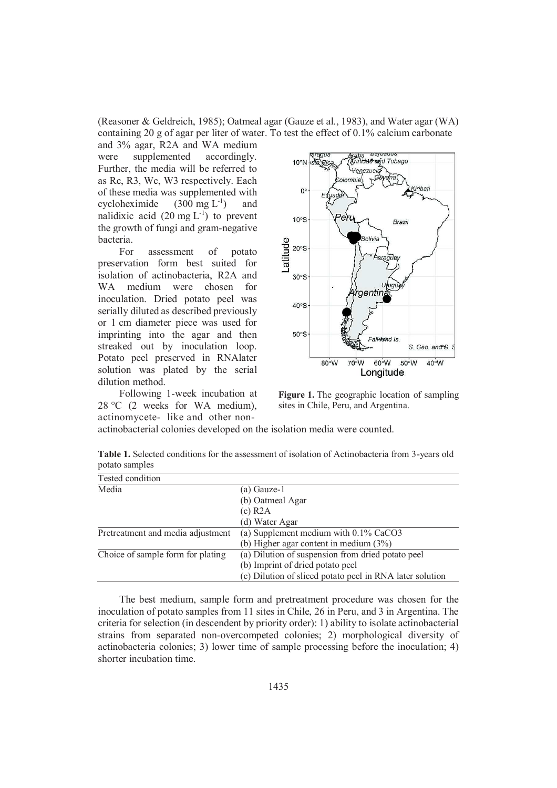(Reasoner & Geldreich, 1985); Oatmeal agar (Gauze et al., 1983), and Water agar (WA) containing 20 g of agar per liter of water. To test the effect of 0.1% calcium carbonate

and 3% agar, R2A and WA medium were supplemented accordingly. Further, the media will be referred to as Rc, R3, Wc, W3 respectively. Each of these media was supplemented with cycloheximide  $(300 \text{ mg L}^{-1})$  and nalidixic acid  $(20 \text{ mg } L^{-1})$  to prevent the growth of fungi and gram-negative bacteria.

For assessment of potato preservation form best suited for isolation of actinobacteria, R2A and WA medium were chosen for inoculation. Dried potato peel was serially diluted as described previously or 1 cm diameter piece was used for imprinting into the agar and then streaked out by inoculation loop. Potato peel preserved in RNAlater solution was plated by the serial dilution method.

Following 1-week incubation at 28 °C (2 weeks for WA medium), actinomycete- like and other non-



**Figure 1.** The geographic location of sampling sites in Chile, Peru, and Argentina.

actinobacterial colonies developed on the isolation media were counted.

| <b>Table 1.</b> Selected conditions for the assessment of isolation of Actinobacteria from 3-years old |  |
|--------------------------------------------------------------------------------------------------------|--|
| potato samples                                                                                         |  |

| Tested condition                  |                                                          |
|-----------------------------------|----------------------------------------------------------|
| Media                             | (a) Gauze-1                                              |
|                                   | (b) Oatmeal Agar                                         |
|                                   | $(c)$ R2A                                                |
|                                   | (d) Water Agar                                           |
| Pretreatment and media adjustment | (a) Supplement medium with 0.1% CaCO3                    |
|                                   | (b) Higher agar content in medium $(3\%)$                |
| Choice of sample form for plating | (a) Dilution of suspension from dried potato peel        |
|                                   | (b) Imprint of dried potato peel                         |
|                                   | (c) Dilution of sliced potato peel in RNA later solution |

The best medium, sample form and pretreatment procedure was chosen for the inoculation of potato samples from 11 sites in Chile, 26 in Peru, and 3 in Argentina. The criteria for selection (in descendent by priority order): 1) ability to isolate actinobacterial strains from separated non-overcompeted colonies; 2) morphological diversity of actinobacteria colonies; 3) lower time of sample processing before the inoculation; 4) shorter incubation time.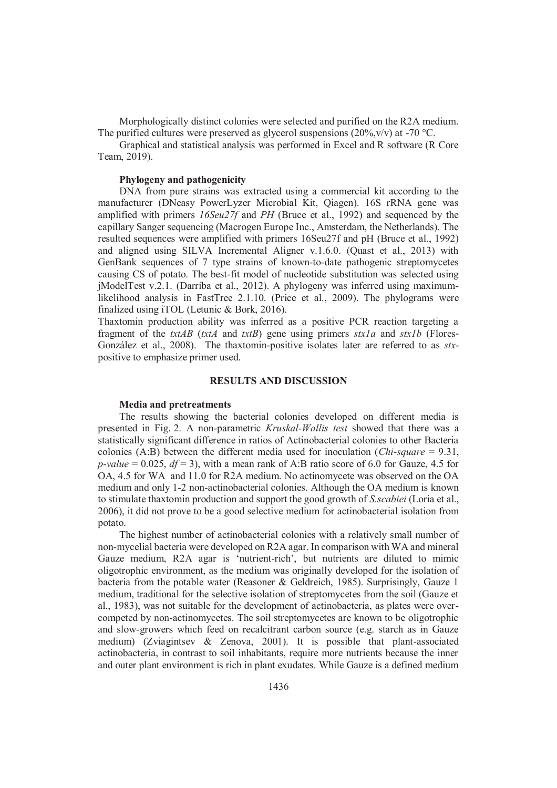Morphologically distinct colonies were selected and purified on the R2A medium. The purified cultures were preserved as glycerol suspensions  $(20\%, v/v)$  at -70 °C.

Graphical and statistical analysis was performed in Excel and R software (R Core Team, 2019).

#### **Phylogeny and pathogenicity**

DNA from pure strains was extracted using a commercial kit according to the manufacturer (DNeasy PowerLyzer Microbial Kit, Qiagen). 16S rRNA gene was amplified with primers *16Seu27f* and *PH* (Bruce et al., 1992) and sequenced by the capillary Sanger sequencing (Macrogen Europe Inc., Amsterdam, the Netherlands). The resulted sequences were amplified with primers 16Seu27f and pH (Bruce et al., 1992) and aligned using SILVA Incremental Aligner v.1.6.0. (Quast et al., 2013) with GenBank sequences of 7 type strains of known-to-date pathogenic streptomycetes causing CS of potato. The best-fit model of nucleotide substitution was selected using jModelTest v.2.1. (Darriba et al., 2012). A phylogeny was inferred using maximumlikelihood analysis in FastTree 2.1.10. (Price et al., 2009). The phylograms were finalized using iTOL (Letunic & Bork, 2016).

Thaxtomin production ability was inferred as a positive PCR reaction targeting a fragment of the *txtAB* (*txtA* and *txtB*) gene using primers *stxla* and *stxlb* (Flores-González et al., 2008). The thaxtomin-positive isolates later are referred to as *stx*positive to emphasize primer used.

#### **RESULTS AND DISCUSSION**

## **Media and pretreatments**

The results showing the bacterial colonies developed on different media is presented in Fig. 2. A non-parametric *Kruskal-Wallis test* showed that there was a statistically significant difference in ratios of Actinobacterial colonies to other Bacteria colonies (A:B) between the different media used for inoculation (*Chi-square* = 9.31, *p-value* = 0.025,  $df = 3$ , with a mean rank of A:B ratio score of 6.0 for Gauze, 4.5 for OA, 4.5 for WA and 11.0 for R2A medium. No actinomycete was observed on the OA medium and only 1-2 non-actinobacterial colonies. Although the OA medium is known to stimulate thaxtomin production and support the good growth of *S.scabiei* (Loria et al., 2006), it did not prove to be a good selective medium for actinobacterial isolation from potato.

The highest number of actinobacterial colonies with a relatively small number of non-mycelial bacteria were developed on R2A agar. In comparison with WA and mineral Gauze medium, R2A agar is 'nutrient-rich', but nutrients are diluted to mimic oligotrophic environment, as the medium was originally developed for the isolation of bacteria from the potable water (Reasoner & Geldreich, 1985). Surprisingly, Gauze 1 medium, traditional for the selective isolation of streptomycetes from the soil (Gauze et al., 1983), was not suitable for the development of actinobacteria, as plates were overcompeted by non-actinomycetes. The soil streptomycetes are known to be oligotrophic and slow-growers which feed on recalcitrant carbon source (e.g. starch as in Gauze medium) (Zviagintsev & Zenova, 2001). It is possible that plant-associated actinobacteria, in contrast to soil inhabitants, require more nutrients because the inner and outer plant environment is rich in plant exudates. While Gauze is a defined medium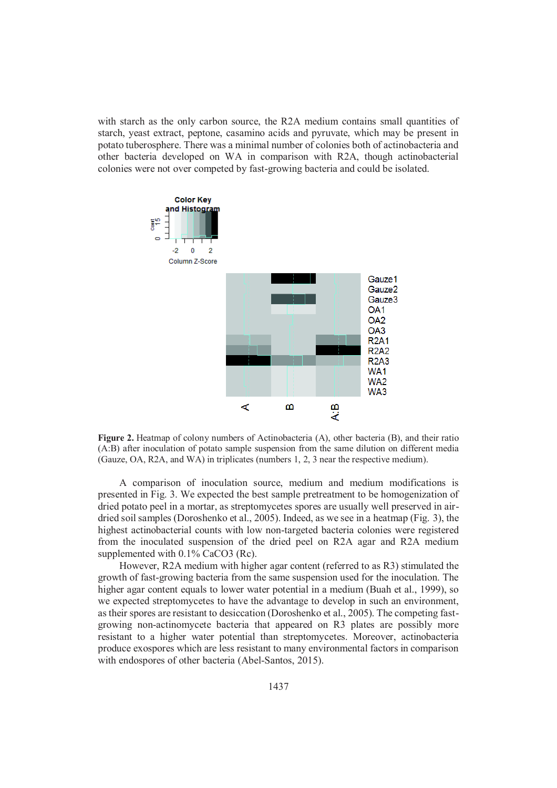with starch as the only carbon source, the R2A medium contains small quantities of starch, yeast extract, peptone, casamino acids and pyruvate, which may be present in potato tuberosphere. There was a minimal number of colonies both of actinobacteria and other bacteria developed on WA in comparison with R2A, though actinobacterial colonies were not over competed by fast-growing bacteria and could be isolated.



**Figure 2.** Heatmap of colony numbers of Actinobacteria (A), other bacteria (B), and their ratio (A:B) after inoculation of potato sample suspension from the same dilution on different media (Gauze, OA, R2A, and WA) in triplicates (numbers 1, 2, 3 near the respective medium).

A comparison of inoculation source, medium and medium modifications is presented in Fig. 3. We expected the best sample pretreatment to be homogenization of dried potato peel in a mortar, as streptomycetes spores are usually well preserved in airdried soil samples (Doroshenko et al., 2005). Indeed, as we see in a heatmap (Fig. 3), the highest actinobacterial counts with low non-targeted bacteria colonies were registered from the inoculated suspension of the dried peel on R2A agar and R2A medium supplemented with 0.1% CaCO3 (Rc).

However, R2A medium with higher agar content (referred to as R3) stimulated the growth of fast-growing bacteria from the same suspension used for the inoculation. The higher agar content equals to lower water potential in a medium (Buah et al., 1999), so we expected streptomycetes to have the advantage to develop in such an environment, as their spores are resistant to desiccation (Doroshenko et al., 2005). The competing fastgrowing non-actinomycete bacteria that appeared on R3 plates are possibly more resistant to a higher water potential than streptomycetes. Moreover, actinobacteria produce exospores which are less resistant to many environmental factors in comparison with endospores of other bacteria (Abel-Santos, 2015).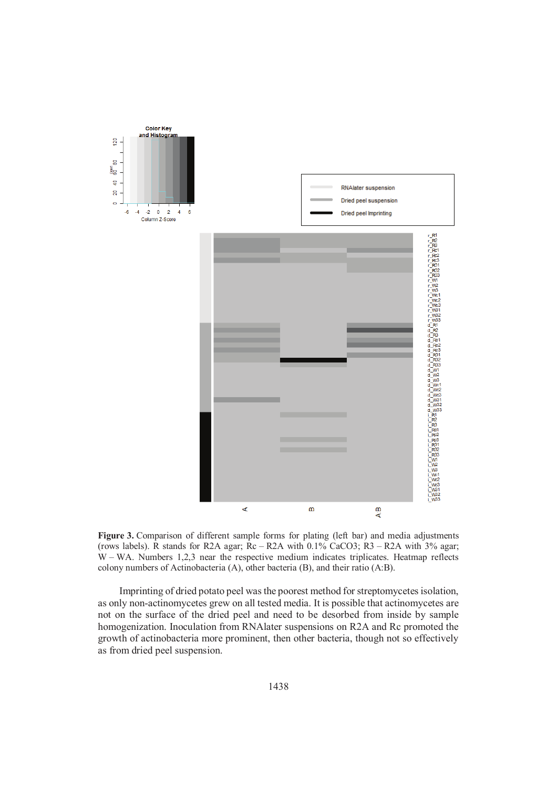

Figure 3. Comparison of different sample forms for plating (left bar) and media adjustments (rows labels). R stands for R2A agar;  $Rc - R2A$  with 0.1% CaCO3;  $R3 - R2A$  with 3% agar; W – WA. Numbers 1,2,3 near the respective medium indicates triplicates. Heatmap reflects colony numbers of Actinobacteria (A), other bacteria (B), and their ratio (A:B).

Imprinting of dried potato peel was the poorest method for streptomycetes isolation, as only non-actinomycetes grew on all tested media. It is possible that actinomycetes are not on the surface of the dried peel and need to be desorbed from inside by sample homogenization. Inoculation from RNAlater suspensions on R2A and Rc promoted the growth of actinobacteria more prominent, then other bacteria, though not so effectively as from dried peel suspension.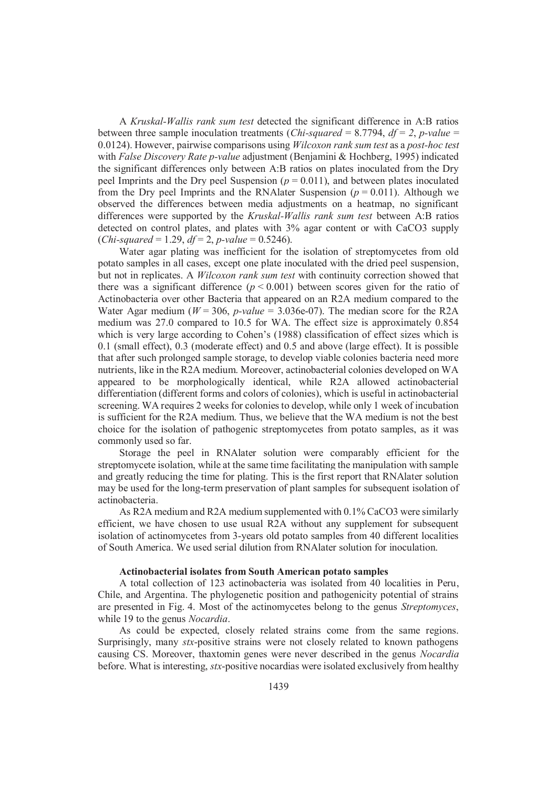A *Kruskal-Wallis rank sum test* detected the significant difference in A:B ratios between three sample inoculation treatments (*Chi-squared* = 8.7794,  $df = 2$ , *p-value* = 0.0124). However, pairwise comparisons using *Wilcoxon rank sum test* as a *post-hoc test* with *False Discovery Rate p-value* adjustment (Benjamini & Hochberg, 1995) indicated the significant differences only between A:B ratios on plates inoculated from the Dry peel Imprints and the Dry peel Suspension  $(p = 0.011)$ , and between plates inoculated from the Dry peel Imprints and the RNAlater Suspension  $(p = 0.011)$ . Although we observed the differences between media adjustments on a heatmap, no significant differences were supported by the *Kruskal-Wallis rank sum test* between A:B ratios detected on control plates, and plates with 3% agar content or with CaCO3 supply (*Chi-squared* = 1.29, *df* = 2, *p-value* = 0.5246).

Water agar plating was inefficient for the isolation of streptomycetes from old potato samples in all cases, except one plate inoculated with the dried peel suspension, but not in replicates. A *Wilcoxon rank sum test* with continuity correction showed that there was a significant difference  $(p < 0.001)$  between scores given for the ratio of Actinobacteria over other Bacteria that appeared on an R2A medium compared to the Water Agar medium ( $W = 306$ ,  $p-value = 3.036e-07$ ). The median score for the R2A medium was 27.0 compared to 10.5 for WA. The effect size is approximately 0.854 which is very large according to Cohen's (1988) classification of effect sizes which is 0.1 (small effect), 0.3 (moderate effect) and 0.5 and above (large effect). It is possible that after such prolonged sample storage, to develop viable colonies bacteria need more nutrients, like in the R2A medium. Moreover, actinobacterial colonies developed on WA appeared to be morphologically identical, while R2A allowed actinobacterial differentiation (different forms and colors of colonies), which is useful in actinobacterial screening. WA requires 2 weeks for colonies to develop, while only 1 week of incubation is sufficient for the R2A medium. Thus, we believe that the WA medium is not the best choice for the isolation of pathogenic streptomycetes from potato samples, as it was commonly used so far.

Storage the peel in RNAlater solution were comparably efficient for the streptomycete isolation, while at the same time facilitating the manipulation with sample and greatly reducing the time for plating. This is the first report that RNAlater solution may be used for the long-term preservation of plant samples for subsequent isolation of actinobacteria.

As R2A medium and R2A medium supplemented with 0.1% CaCO3 were similarly efficient, we have chosen to use usual R2A without any supplement for subsequent isolation of actinomycetes from 3-years old potato samples from 40 different localities of South America. We used serial dilution from RNAlater solution for inoculation.

## **Actinobacterial isolates from South American potato samples**

A total collection of 123 actinobacteria was isolated from 40 localities in Peru, Chile, and Argentina. The phylogenetic position and pathogenicity potential of strains are presented in Fig. 4. Most of the actinomycetes belong to the genus *Streptomyces*, while 19 to the genus *Nocardia*.

As could be expected, closely related strains come from the same regions. Surprisingly, many *stx*-positive strains were not closely related to known pathogens causing CS. Moreover, thaxtomin genes were never described in the genus *Nocardia* before. What is interesting, *stx*-positive nocardias were isolated exclusively from healthy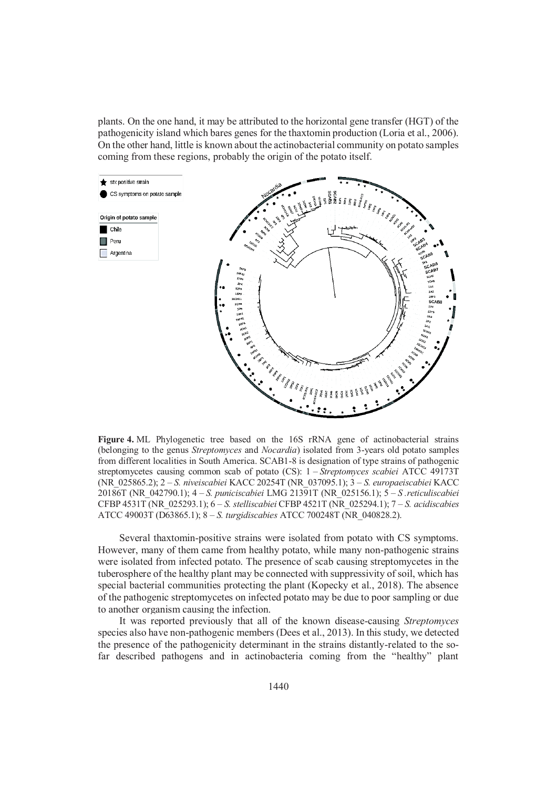plants. On the one hand, it may be attributed to the horizontal gene transfer (HGT) of the pathogenicity island which bares genes for the thaxtomin production (Loria et al., 2006). On the other hand, little is known about the actinobacterial community on potato samples coming from these regions, probably the origin of the potato itself.



**Figure 4.** ML Phylogenetic tree based on the 16S rRNA gene of actinobacterial strains (belonging to the genus *Streptomyces* and *Nocardia*) isolated from 3-years old potato samples from different localities in South America. SCAB1-8 is designation of type strains of pathogenic streptomycetes causing common scab of potato (CS): 1 – *Streptomyces scabiei* ATCC 49173T (NR\_025865.2); 2 – *S. niveiscabiei* KACC 20254T (NR\_037095.1); 3 – *S. europaeiscabiei* KACC 20186T (NR\_042790.1); 4 – *S. puniciscabiei* LMG 21391T (NR\_025156.1); 5 – *S .reticuliscabiei* CFBP 4531T (NR\_025293.1); 6 – *S. stelliscabiei* CFBP 4521T (NR\_025294.1); 7 – *S. acidiscabies* ATCC 49003T (D63865.1); 8 – *S. turgidiscabies* ATCC 700248T (NR\_040828.2).

Several thaxtomin-positive strains were isolated from potato with CS symptoms. However, many of them came from healthy potato, while many non-pathogenic strains were isolated from infected potato. The presence of scab causing streptomycetes in the tuberosphere of the healthy plant may be connected with suppressivity of soil, which has special bacterial communities protecting the plant (Kopecky et al., 2018). The absence of the pathogenic streptomycetes on infected potato may be due to poor sampling or due to another organism causing the infection.

It was reported previously that all of the known disease-causing *Streptomyces* species also have non-pathogenic members (Dees et al., 2013). In this study, we detected the presence of the pathogenicity determinant in the strains distantly-related to the sofar described pathogens and in actinobacteria coming from the "healthy" plant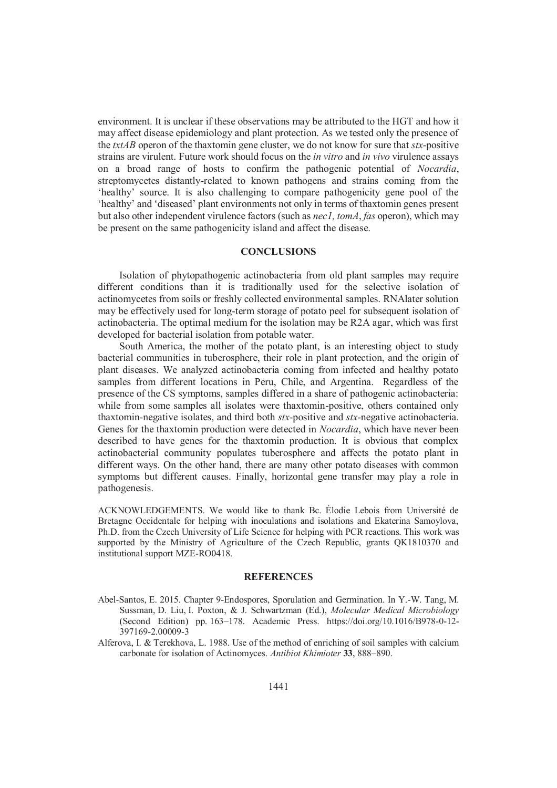environment. It is unclear if these observations may be attributed to the HGT and how it may affect disease epidemiology and plant protection. As we tested only the presence of the *txtAB* operon of the thaxtomin gene cluster, we do not know for sure that *stx*-positive strains are virulent. Future work should focus on the *in vitro* and *in vivo* virulence assays on a broad range of hosts to confirm the pathogenic potential of *Nocardia*, streptomycetes distantly-related to known pathogens and strains coming from the 'healthy' source. It is also challenging to compare pathogenicity gene pool of the 'healthy' and 'diseased' plant environments not only in terms of thaxtomin genes present but also other independent virulence factors (such as *nec1, tomA*, *fas* operon), which may be present on the same pathogenicity island and affect the disease.

## **CONCLUSIONS**

Isolation of phytopathogenic actinobacteria from old plant samples may require different conditions than it is traditionally used for the selective isolation of actinomycetes from soils or freshly collected environmental samples. RNAlater solution may be effectively used for long-term storage of potato peel for subsequent isolation of actinobacteria. The optimal medium for the isolation may be R2A agar, which was first developed for bacterial isolation from potable water.

South America, the mother of the potato plant, is an interesting object to study bacterial communities in tuberosphere, their role in plant protection, and the origin of plant diseases. We analyzed actinobacteria coming from infected and healthy potato samples from different locations in Peru, Chile, and Argentina. Regardless of the presence of the CS symptoms, samples differed in a share of pathogenic actinobacteria: while from some samples all isolates were thaxtomin-positive, others contained only thaxtomin-negative isolates, and third both *stx*-positive and *stx*-negative actinobacteria. Genes for the thaxtomin production were detected in *Nocardia*, which have never been described to have genes for the thaxtomin production. It is obvious that complex actinobacterial community populates tuberosphere and affects the potato plant in different ways. On the other hand, there are many other potato diseases with common symptoms but different causes. Finally, horizontal gene transfer may play a role in pathogenesis.

ACKNOWLEDGEMENTS. We would like to thank Bc. Élodie Lebois from Université de Bretagne Occidentale for helping with inoculations and isolations and Ekaterina Samoylova, Ph.D. from the Czech University of Life Science for helping with PCR reactions. This work was supported by the Ministry of Agriculture of the Czech Republic, grants QK1810370 and institutional support MZE-RO0418.

## **REFERENCES**

- Abel-Santos, E. 2015. Chapter 9-Endospores, Sporulation and Germination. In Y.-W. Tang, M. Sussman, D. Liu, I. Poxton, & J. Schwartzman (Ed.), *Molecular Medical Microbiology*  (Second Edition) pp. 163–178. Academic Press. https://doi.org/10.1016/B978-0-12- 397169-2.00009-3
- Alferova, I. & Terekhova, L. 1988. Use of the method of enriching of soil samples with calcium carbonate for isolation of Actinomyces. *Antibiot Khimioter* **33**, 888–890.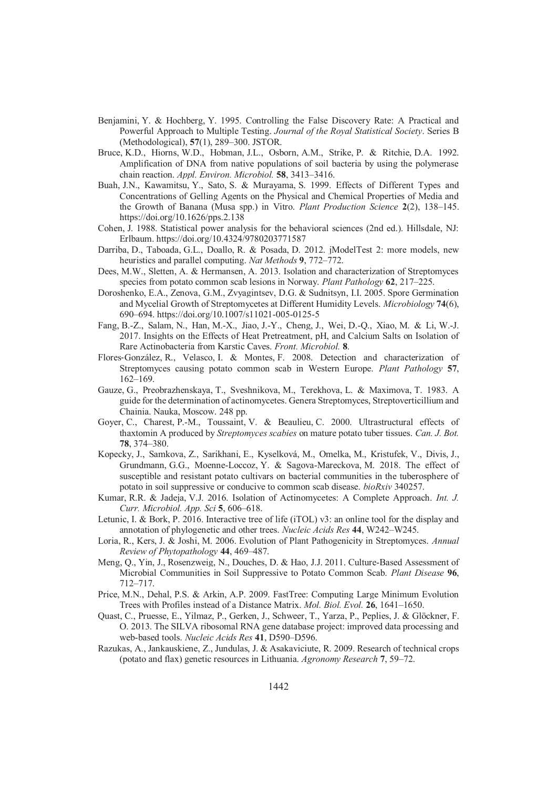- Benjamini, Y. & Hochberg, Y. 1995. Controlling the False Discovery Rate: A Practical and Powerful Approach to Multiple Testing. *Journal of the Royal Statistical Society*. Series B (Methodological), **57**(1), 289–300. JSTOR.
- Bruce, K.D., Hiorns, W.D., Hobman, J.L., Osborn, A.M., Strike, P. & Ritchie, D.A. 1992. Amplification of DNA from native populations of soil bacteria by using the polymerase chain reaction. *Appl. Environ. Microbiol.* **58**, 3413–3416.
- Buah, J.N., Kawamitsu, Y., Sato, S. & Murayama, S. 1999. Effects of Different Types and Concentrations of Gelling Agents on the Physical and Chemical Properties of Media and the Growth of Banana (Musa spp.) in Vitro. *Plant Production Science* **2**(2), 138–145. https://doi.org/10.1626/pps.2.138
- Cohen, J. 1988. Statistical power analysis for the behavioral sciences (2nd ed.). Hillsdale, NJ: Erlbaum. https://doi.org/10.4324/9780203771587
- Darriba, D., Taboada, G.L., Doallo, R. & Posada, D. 2012. jModelTest 2: more models, new heuristics and parallel computing. *Nat Methods* **9**, 772–772.
- Dees, M.W., Sletten, A. & Hermansen, A. 2013. Isolation and characterization of Streptomyces species from potato common scab lesions in Norway. *Plant Pathology* **62**, 217–225.
- Doroshenko, E.A., Zenova, G.M., Zvyagintsev, D.G. & Sudnitsyn, I.I. 2005. Spore Germination and Mycelial Growth of Streptomycetes at Different Humidity Levels. *Microbiology* **74**(6), 690–694. https://doi.org/10.1007/s11021-005-0125-5
- Fang, B.-Z., Salam, N., Han, M.-X., Jiao, J.-Y., Cheng, J., Wei, D.-Q., Xiao, M. & Li, W.-J. 2017. Insights on the Effects of Heat Pretreatment, pH, and Calcium Salts on Isolation of Rare Actinobacteria from Karstic Caves. *Front. Microbiol.* **8**.
- Flores-González, R., Velasco, I. & Montes, F. 2008. Detection and characterization of Streptomyces causing potato common scab in Western Europe. *Plant Pathology* **57**, 162–169.
- Gauze, G., Preobrazhenskaya, T., Sveshnikova, M., Terekhova, L. & Maximova, T. 1983. A guide for the determination of actinomycetes. Genera Streptomyces, Streptoverticillium and Chainia. Nauka, Moscow. 248 pp.
- Goyer, C., Charest, P.-M., Toussaint, V. & Beaulieu, C. 2000. Ultrastructural effects of thaxtomin A produced by *Streptomyces scabies* on mature potato tuber tissues. *Can. J. Bot.* **78**, 374–380.
- Kopecky, J., Samkova, Z., Sarikhani, E., Kyselková, M., Omelka, M., Kristufek, V., Divis, J., Grundmann, G.G., Moenne-Loccoz, Y. & Sagova-Mareckova, M. 2018. The effect of susceptible and resistant potato cultivars on bacterial communities in the tuberosphere of potato in soil suppressive or conducive to common scab disease. *bioRxiv* 340257.
- Kumar, R.R. & Jadeja, V.J. 2016. Isolation of Actinomycetes: A Complete Approach. *Int. J. Curr. Microbiol. App. Sci* **5**, 606–618.
- Letunic, I. & Bork, P. 2016. Interactive tree of life (iTOL) v3: an online tool for the display and annotation of phylogenetic and other trees. *Nucleic Acids Res* **44**, W242–W245.
- Loria, R., Kers, J. & Joshi, M. 2006. Evolution of Plant Pathogenicity in Streptomyces. *Annual Review of Phytopathology* **44**, 469–487.
- Meng, Q., Yin, J., Rosenzweig, N., Douches, D. & Hao, J.J. 2011. Culture-Based Assessment of Microbial Communities in Soil Suppressive to Potato Common Scab. *Plant Disease* **96**, 712–717.
- Price, M.N., Dehal, P.S. & Arkin, A.P. 2009. FastTree: Computing Large Minimum Evolution Trees with Profiles instead of a Distance Matrix. *Mol. Biol. Evol.* **26**, 1641–1650.
- Quast, C., Pruesse, E., Yilmaz, P., Gerken, J., Schweer, T., Yarza, P., Peplies, J. & Glöckner, F. O. 2013. The SILVA ribosomal RNA gene database project: improved data processing and web-based tools. *Nucleic Acids Res* **41**, D590–D596.
- Razukas, A., Jankauskiene, Z., Jundulas, J. & Asakaviciute, R. 2009. Research of technical crops (potato and flax) genetic resources in Lithuania. *Agronomy Research* **7**, 59–72.